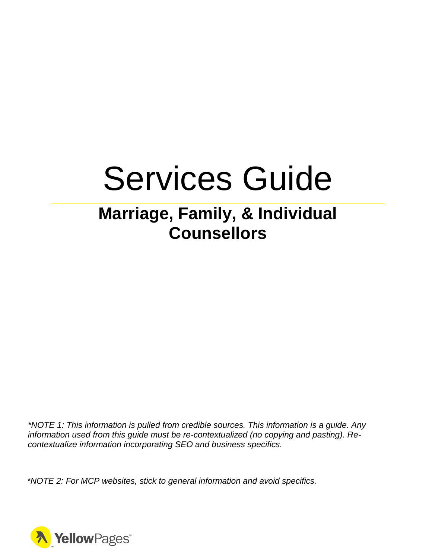# Services Guide

# **Marriage, Family, & Individual Counsellors**

*\*NOTE 1: This information is pulled from credible sources. This information is a guide. Any information used from this guide must be re-contextualized (no copying and pasting). Recontextualize information incorporating SEO and business specifics.*

*\*NOTE 2: For MCP websites, stick to general information and avoid specifics.*

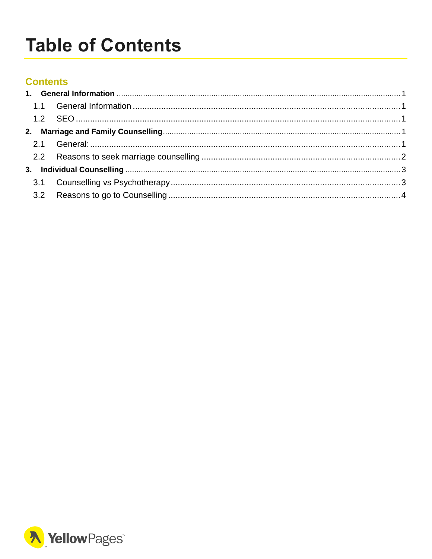# <span id="page-1-0"></span>**Table of Contents**

#### **Contents**

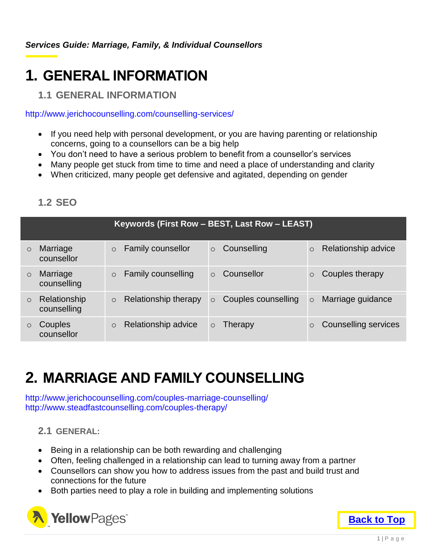## <span id="page-2-0"></span>**1. GENERAL INFORMATION**

#### <span id="page-2-1"></span>**1.1 GENERAL INFORMATION**

http://www.jerichocounselling.com/counselling-services/

- If you need help with personal development, or you are having parenting or relationship concerns, going to a counsellors can be a big help
- You don't need to have a serious problem to benefit from a counsellor's services
- Many people get stuck from time to time and need a place of understanding and clarity
- When criticized, many people get defensive and agitated, depending on gender

| Keywords (First Row - BEST, Last Row - LEAST) |                             |                                                                                        |  |  |  |  |
|-----------------------------------------------|-----------------------------|----------------------------------------------------------------------------------------|--|--|--|--|
| $\circ$                                       | Marriage<br>counsellor      | Relationship advice<br><b>Family counsellor</b><br>Counselling<br>$\circ$              |  |  |  |  |
| $\circ$                                       | Marriage<br>counselling     | Couples therapy<br><b>Family counselling</b><br>Counsellor<br>$\Omega$                 |  |  |  |  |
| $\circ$                                       | Relationship<br>counselling | Relationship therapy<br>Couples counselling<br>Marriage guidance<br>$\circ$<br>$\circ$ |  |  |  |  |
| $\circ$                                       | Couples<br>counsellor       | Relationship advice<br><b>Counselling services</b><br>Therapy<br>$\circ$               |  |  |  |  |

#### <span id="page-2-2"></span>**1.2 SEO**

# <span id="page-2-3"></span>**2. MARRIAGE AND FAMILY COUNSELLING**

http://www.jerichocounselling.com/couples-marriage-counselling/ http://www.steadfastcounselling.com/couples-therapy/

#### <span id="page-2-4"></span>**2.1 GENERAL:**

- Being in a relationship can be both rewarding and challenging
- Often, feeling challenged in a relationship can lead to turning away from a partner
- Counsellors can show you how to address issues from the past and build trust and connections for the future
- Both parties need to play a role in building and implementing solutions

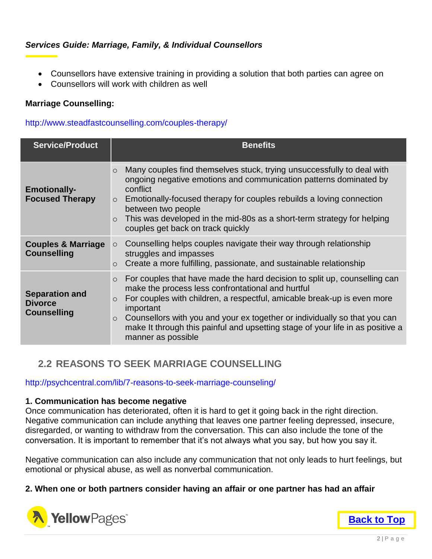- Counsellors have extensive training in providing a solution that both parties can agree on
- Counsellors will work with children as well

#### **Marriage Counselling:**

#### http://www.steadfastcounselling.com/couples-therapy/

| <b>Service/Product</b>                                        | <b>Benefits</b>                                                                                                                                                                                                                                                                                                                                                                                                                              |
|---------------------------------------------------------------|----------------------------------------------------------------------------------------------------------------------------------------------------------------------------------------------------------------------------------------------------------------------------------------------------------------------------------------------------------------------------------------------------------------------------------------------|
| <b>Emotionally-</b><br><b>Focused Therapy</b>                 | Many couples find themselves stuck, trying unsuccessfully to deal with<br>$\circ$<br>ongoing negative emotions and communication patterns dominated by<br>conflict<br>Emotionally-focused therapy for couples rebuilds a loving connection<br>$\circ$<br>between two people<br>This was developed in the mid-80s as a short-term strategy for helping<br>$\circ$<br>couples get back on track quickly                                        |
| <b>Couples &amp; Marriage</b><br><b>Counselling</b>           | Counselling helps couples navigate their way through relationship<br>$\circ$<br>struggles and impasses<br>Create a more fulfilling, passionate, and sustainable relationship<br>$\circ$                                                                                                                                                                                                                                                      |
| <b>Separation and</b><br><b>Divorce</b><br><b>Counselling</b> | For couples that have made the hard decision to split up, counselling can<br>$\circ$<br>make the process less confrontational and hurtful<br>For couples with children, a respectful, amicable break-up is even more<br>$\circ$<br>important<br>Counsellors with you and your ex together or individually so that you can<br>$\circ$<br>make It through this painful and upsetting stage of your life in as positive a<br>manner as possible |

#### <span id="page-3-0"></span>**2.2 REASONS TO SEEK MARRIAGE COUNSELLING**

http://psychcentral.com/lib/7-reasons-to-seek-marriage-counseling/

#### **1. Communication has become negative**

Once communication has deteriorated, often it is hard to get it going back in the right direction. Negative communication can include anything that leaves one partner feeling depressed, insecure, disregarded, or wanting to withdraw from the conversation. This can also include the tone of the conversation. It is important to remember that it's not always what you say, but how you say it.

Negative communication can also include any communication that not only leads to hurt feelings, but emotional or physical abuse, as well as nonverbal communication.

#### **2. When one or both partners consider having an affair or one partner has had an affair**



**[Back to Top](#page-1-0)**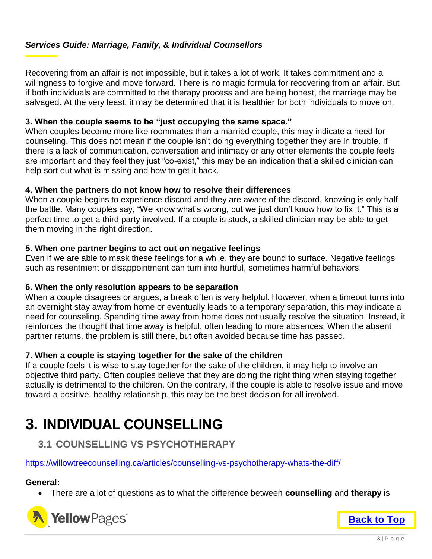Recovering from an affair is not impossible, but it takes a lot of work. It takes commitment and a willingness to forgive and move forward. There is no magic formula for recovering from an affair. But if both individuals are committed to the therapy process and are being honest, the marriage may be salvaged. At the very least, it may be determined that it is healthier for both individuals to move on.

#### **3. When the couple seems to be "just occupying the same space."**

When couples become more like roommates than a married couple, this may indicate a need for counseling. This does not mean if the couple isn't doing everything together they are in trouble. If there is a lack of communication, conversation and intimacy or any other elements the couple feels are important and they feel they just "co-exist," this may be an indication that a skilled clinician can help sort out what is missing and how to get it back.

#### **4. When the partners do not know how to resolve their differences**

When a couple begins to experience discord and they are aware of the discord, knowing is only half the battle. Many couples say, "We know what's wrong, but we just don't know how to fix it." This is a perfect time to get a third party involved. If a couple is stuck, a skilled clinician may be able to get them moving in the right direction.

#### **5. When one partner begins to act out on negative feelings**

Even if we are able to mask these feelings for a while, they are bound to surface. Negative feelings such as resentment or disappointment can turn into hurtful, sometimes harmful behaviors.

#### **6. When the only resolution appears to be separation**

When a couple disagrees or argues, a break often is very helpful. However, when a timeout turns into an overnight stay away from home or eventually leads to a temporary separation, this may indicate a need for counseling. Spending time away from home does not usually resolve the situation. Instead, it reinforces the thought that time away is helpful, often leading to more absences. When the absent partner returns, the problem is still there, but often avoided because time has passed.

#### **7. When a couple is staying together for the sake of the children**

If a couple feels it is wise to stay together for the sake of the children, it may help to involve an objective third party. Often couples believe that they are doing the right thing when staying together actually is detrimental to the children. On the contrary, if the couple is able to resolve issue and move toward a positive, healthy relationship, this may be the best decision for all involved.

### <span id="page-4-0"></span>**3. INDIVIDUAL COUNSELLING**

#### <span id="page-4-1"></span>**3.1 COUNSELLING VS PSYCHOTHERAPY**

#### https://willowtreecounselling.ca/articles/counselling-vs-psychotherapy-whats-the-diff/

#### **General:**

There are a lot of questions as to what the difference between **counselling** and **therapy** is



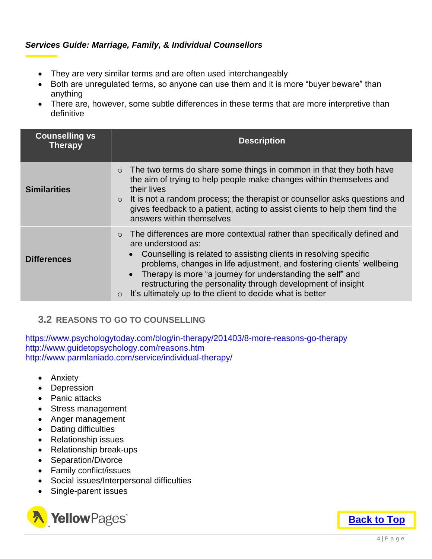- They are very similar terms and are often used interchangeably
- Both are unregulated terms, so anyone can use them and it is more "buyer beware" than anything
- There are, however, some subtle differences in these terms that are more interpretive than definitive

| <b>Counselling vs</b><br><b>Therapy</b> | <b>Description</b>                                                                                                                                                                                                                                                                                                                                                                                                                                  |
|-----------------------------------------|-----------------------------------------------------------------------------------------------------------------------------------------------------------------------------------------------------------------------------------------------------------------------------------------------------------------------------------------------------------------------------------------------------------------------------------------------------|
| <b>Similarities</b>                     | The two terms do share some things in common in that they both have<br>$\circ$<br>the aim of trying to help people make changes within themselves and<br>their lives<br>$\circ$ It is not a random process; the therapist or counsellor asks questions and<br>gives feedback to a patient, acting to assist clients to help them find the<br>answers within themselves                                                                              |
| <b>Differences</b>                      | The differences are more contextual rather than specifically defined and<br>are understood as:<br>Counselling is related to assisting clients in resolving specific<br>problems, changes in life adjustment, and fostering clients' wellbeing<br>Therapy is more "a journey for understanding the self" and<br>restructuring the personality through development of insight<br>It's ultimately up to the client to decide what is better<br>$\circ$ |

#### <span id="page-5-0"></span>**3.2 REASONS TO GO TO COUNSELLING**

https://www.psychologytoday.com/blog/in-therapy/201403/8-more-reasons-go-therapy http://www.guidetopsychology.com/reasons.htm http://www.parmlaniado.com/service/individual-therapy/

- Anxiety
- Depression
- Panic attacks
- Stress management
- Anger management
- Dating difficulties
- Relationship issues
- Relationship break-ups
- Separation/Divorce
- Family conflict/issues
- Social issues/Interpersonal difficulties
- Single-parent issues